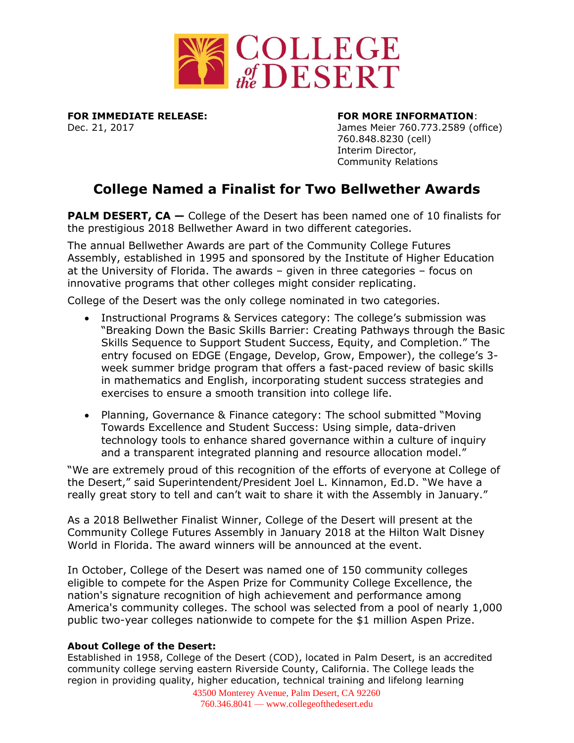

**FOR IMMEDIATE RELEASE: FOR MORE INFORMATION**:

Dec. 21, 2017 James Meier 760.773.2589 (office) 760.848.8230 (cell) Interim Director, Community Relations

## **College Named a Finalist for Two Bellwether Awards**

**PALM DESERT, CA** – College of the Desert has been named one of 10 finalists for the prestigious 2018 Bellwether Award in two different categories.

The annual Bellwether Awards are part of the Community College Futures Assembly, established in 1995 and sponsored by the Institute of Higher Education at the University of Florida. The awards – given in three categories – focus on innovative programs that other colleges might consider replicating.

College of the Desert was the only college nominated in two categories.

- Instructional Programs & Services category: The college's submission was "Breaking Down the Basic Skills Barrier: Creating Pathways through the Basic Skills Sequence to Support Student Success, Equity, and Completion." The entry focused on EDGE (Engage, Develop, Grow, Empower), the college's 3 week summer bridge program that offers a fast-paced review of basic skills in mathematics and English, incorporating student success strategies and exercises to ensure a smooth transition into college life.
- Planning, Governance & Finance category: The school submitted "Moving Towards Excellence and Student Success: Using simple, data-driven technology tools to enhance shared governance within a culture of inquiry and a transparent integrated planning and resource allocation model."

"We are extremely proud of this recognition of the efforts of everyone at College of the Desert," said Superintendent/President Joel L. Kinnamon, Ed.D. "We have a really great story to tell and can't wait to share it with the Assembly in January."

As a 2018 Bellwether Finalist Winner, College of the Desert will present at the Community College Futures Assembly in January 2018 at the Hilton Walt Disney World in Florida. The award winners will be announced at the event.

In October, College of the Desert was named one of 150 community colleges eligible to compete for the Aspen Prize for Community College Excellence, the nation's signature recognition of high achievement and performance among America's community colleges. The school was selected from a pool of nearly 1,000 public two-year colleges nationwide to compete for the \$1 million Aspen Prize.

## **About College of the Desert:**

Established in 1958, College of the Desert (COD), located in Palm Desert, is an accredited community college serving eastern Riverside County, California. The College leads the region in providing quality, higher education, technical training and lifelong learning